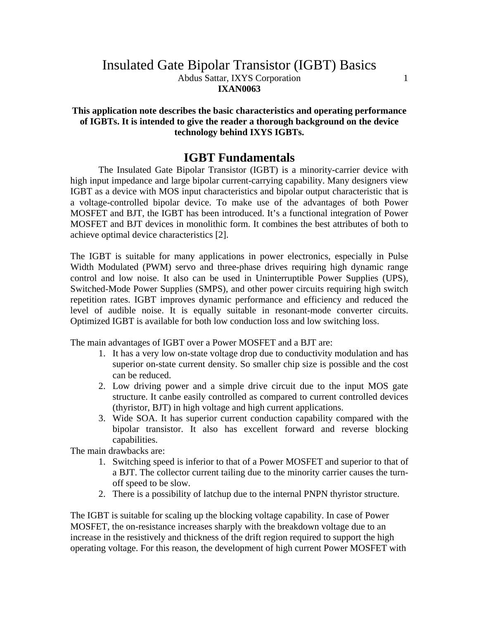## Insulated Gate Bipolar Transistor (IGBT) Basics Abdus Sattar, IXYS Corporation 1 **IXAN0063**

#### **This application note describes the basic characteristics and operating performance of IGBTs. It is intended to give the reader a thorough background on the device technology behind IXYS IGBTs.**

## **IGBT Fundamentals**

The Insulated Gate Bipolar Transistor (IGBT) is a minority-carrier device with high input impedance and large bipolar current-carrying capability. Many designers view IGBT as a device with MOS input characteristics and bipolar output characteristic that is a voltage-controlled bipolar device. To make use of the advantages of both Power MOSFET and BJT, the IGBT has been introduced. It's a functional integration of Power MOSFET and BJT devices in monolithic form. It combines the best attributes of both to achieve optimal device characteristics [2].

The IGBT is suitable for many applications in power electronics, especially in Pulse Width Modulated (PWM) servo and three-phase drives requiring high dynamic range control and low noise. It also can be used in Uninterruptible Power Supplies (UPS), Switched-Mode Power Supplies (SMPS), and other power circuits requiring high switch repetition rates. IGBT improves dynamic performance and efficiency and reduced the level of audible noise. It is equally suitable in resonant-mode converter circuits. Optimized IGBT is available for both low conduction loss and low switching loss.

The main advantages of IGBT over a Power MOSFET and a BJT are:

- 1. It has a very low on-state voltage drop due to conductivity modulation and has superior on-state current density. So smaller chip size is possible and the cost can be reduced.
- 2. Low driving power and a simple drive circuit due to the input MOS gate structure. It canbe easily controlled as compared to current controlled devices (thyristor, BJT) in high voltage and high current applications.
- 3. Wide SOA. It has superior current conduction capability compared with the bipolar transistor. It also has excellent forward and reverse blocking capabilities.

The main drawbacks are:

- 1. Switching speed is inferior to that of a Power MOSFET and superior to that of a BJT. The collector current tailing due to the minority carrier causes the turnoff speed to be slow.
- 2. There is a possibility of latchup due to the internal PNPN thyristor structure.

The IGBT is suitable for scaling up the blocking voltage capability. In case of Power MOSFET, the on-resistance increases sharply with the breakdown voltage due to an increase in the resistively and thickness of the drift region required to support the high operating voltage. For this reason, the development of high current Power MOSFET with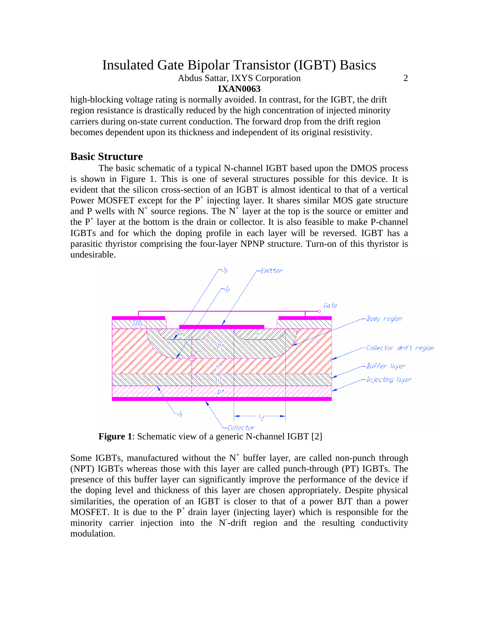Abdus Sattar, IXYS Corporation 2

#### **IXAN0063**

high-blocking voltage rating is normally avoided. In contrast, for the IGBT, the drift region resistance is drastically reduced by the high concentration of injected minority carriers during on-state current conduction. The forward drop from the drift region becomes dependent upon its thickness and independent of its original resistivity.

### **Basic Structure**

The basic schematic of a typical N-channel IGBT based upon the DMOS process is shown in Figure 1. This is one of several structures possible for this device. It is evident that the silicon cross-section of an IGBT is almost identical to that of a vertical Power MOSFET except for the  $P^+$  injecting layer. It shares similar MOS gate structure and P wells with  $N^+$  source regions. The  $N^+$  layer at the top is the source or emitter and the  $P^+$  layer at the bottom is the drain or collector. It is also feasible to make P-channel IGBTs and for which the doping profile in each layer will be reversed. IGBT has a parasitic thyristor comprising the four-layer NPNP structure. Turn-on of this thyristor is undesirable.



**Figure 1**: Schematic view of a generic N-channel IGBT [2]

Some IGBTs, manufactured without the  $N^+$  buffer layer, are called non-punch through (NPT) IGBTs whereas those with this layer are called punch-through (PT) IGBTs. The presence of this buffer layer can significantly improve the performance of the device if the doping level and thickness of this layer are chosen appropriately. Despite physical similarities, the operation of an IGBT is closer to that of a power BJT than a power MOSFET. It is due to the  $P^+$  drain layer (injecting layer) which is responsible for the minority carrier injection into the N-drift region and the resulting conductivity modulation.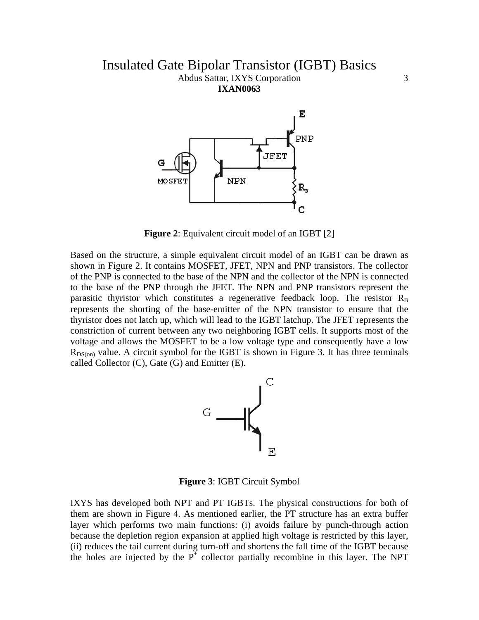### Insulated Gate Bipolar Transistor (IGBT) Basics Abdus Sattar, IXYS Corporation 3 **IXAN0063**



**Figure 2**: Equivalent circuit model of an IGBT [2]

Based on the structure, a simple equivalent circuit model of an IGBT can be drawn as shown in Figure 2. It contains MOSFET, JFET, NPN and PNP transistors. The collector of the PNP is connected to the base of the NPN and the collector of the NPN is connected to the base of the PNP through the JFET. The NPN and PNP transistors represent the parasitic thyristor which constitutes a regenerative feedback loop. The resistor  $R_B$ represents the shorting of the base-emitter of the NPN transistor to ensure that the thyristor does not latch up, which will lead to the IGBT latchup. The JFET represents the constriction of current between any two neighboring IGBT cells. It supports most of the voltage and allows the MOSFET to be a low voltage type and consequently have a low  $R_{DS(on)}$  value. A circuit symbol for the IGBT is shown in Figure 3. It has three terminals called Collector  $(C)$ , Gate  $(G)$  and Emitter  $(E)$ .



**Figure 3**: IGBT Circuit Symbol

IXYS has developed both NPT and PT IGBTs. The physical constructions for both of them are shown in Figure 4. As mentioned earlier, the PT structure has an extra buffer layer which performs two main functions: (i) avoids failure by punch-through action because the depletion region expansion at applied high voltage is restricted by this layer, (ii) reduces the tail current during turn-off and shortens the fall time of the IGBT because the holes are injected by the  $P^+$  collector partially recombine in this layer. The NPT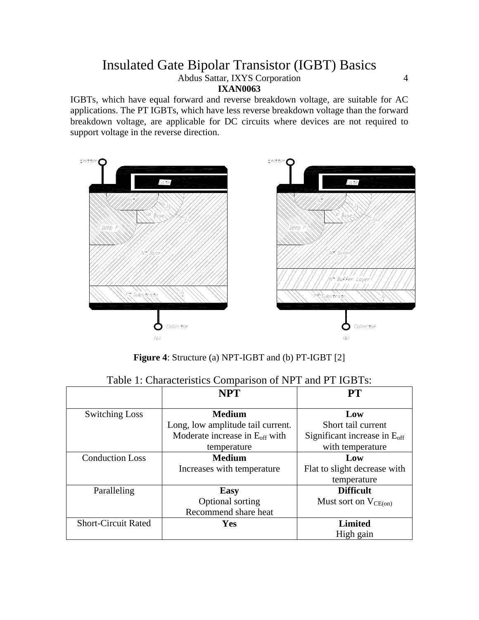Abdus Sattar, IXYS Corporation 4

#### **IXAN0063**

IGBTs, which have equal forward and reverse breakdown voltage, are suitable for AC applications. The PT IGBTs, which have less reverse breakdown voltage than the forward breakdown voltage, are applicable for DC circuits where devices are not required to support voltage in the reverse direction.



**Figure 4**: Structure (a) NPT-IGBT and (b) PT-IGBT [2]

|                            | <b>NPT</b>                                 | PT                                       |
|----------------------------|--------------------------------------------|------------------------------------------|
| <b>Switching Loss</b>      | <b>Medium</b>                              | Low                                      |
|                            | Long, low amplitude tail current.          | Short tail current                       |
|                            | Moderate increase in $E_{\text{off}}$ with | Significant increase in $E_{\text{off}}$ |
|                            | temperature                                | with temperature                         |
| <b>Conduction Loss</b>     | <b>Medium</b>                              | Low                                      |
|                            | Increases with temperature                 | Flat to slight decrease with             |
|                            |                                            | temperature                              |
| Paralleling                | <b>Easy</b>                                | <b>Difficult</b>                         |
|                            | Optional sorting                           | Must sort on $V_{CE(on)}$                |
|                            | Recommend share heat                       |                                          |
| <b>Short-Circuit Rated</b> | Yes                                        | <b>Limited</b>                           |
|                            |                                            | High gain                                |

### Table 1: Characteristics Comparison of NPT and PT IGBTs: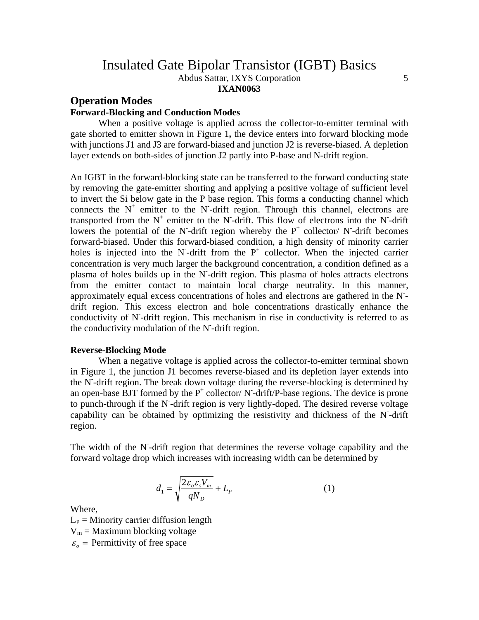Abdus Sattar, IXYS Corporation 5

#### **IXAN0063**

## **Operation Modes**

### **Forward-Blocking and Conduction Modes**

When a positive voltage is applied across the collector-to-emitter terminal with gate shorted to emitter shown in Figure 1**,** the device enters into forward blocking mode with junctions J1 and J3 are forward-biased and junction J2 is reverse-biased. A depletion layer extends on both-sides of junction J2 partly into P-base and N-drift region.

An IGBT in the forward-blocking state can be transferred to the forward conducting state by removing the gate-emitter shorting and applying a positive voltage of sufficient level to invert the Si below gate in the P base region. This forms a conducting channel which connects the  $N^+$  emitter to the N-drift region. Through this channel, electrons are transported from the  $N^+$  emitter to the N-drift. This flow of electrons into the N-drift lowers the potential of the N-drift region whereby the  $P^+$  collector/ N-drift becomes forward-biased. Under this forward-biased condition, a high density of minority carrier holes is injected into the N-drift from the  $P^+$  collector. When the injected carrier concentration is very much larger the background concentration, a condition defined as a plasma of holes builds up in the N-drift region. This plasma of holes attracts electrons from the emitter contact to maintain local charge neutrality. In this manner, approximately equal excess concentrations of holes and electrons are gathered in the N- drift region. This excess electron and hole concentrations drastically enhance the conductivity of N-drift region. This mechanism in rise in conductivity is referred to as the conductivity modulation of the N- -drift region.

#### **Reverse-Blocking Mode**

When a negative voltage is applied across the collector-to-emitter terminal shown in Figure 1, the junction J1 becomes reverse-biased and its depletion layer extends into the N- -drift region. The break down voltage during the reverse-blocking is determined by an open-base BJT formed by the  $P^+$  collector/ N-drift/P-base regions. The device is prone to punch-through if the N- -drift region is very lightly-doped. The desired reverse voltage capability can be obtained by optimizing the resistivity and thickness of the N-drift region.

The width of the N-drift region that determines the reverse voltage capability and the forward voltage drop which increases with increasing width can be determined by

$$
d_1 = \sqrt{\frac{2\varepsilon_o \varepsilon_s V_m}{qN_D}} + L_p \tag{1}
$$

Where,

 $L<sub>P</sub>$  = Minority carrier diffusion length  $V_m$  = Maximum blocking voltage  $\varepsilon$ <sup>*c*</sup> = Permittivity of free space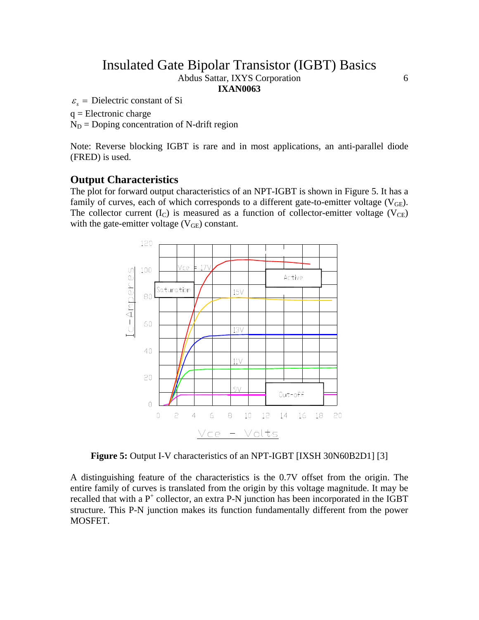Abdus Sattar, IXYS Corporation 6

**IXAN0063** 

 $\varepsilon$ <sub>s</sub> = Dielectric constant of Si

 $q =$ Electronic charge

 $N_D$  = Doping concentration of N-drift region

Note: Reverse blocking IGBT is rare and in most applications, an anti-parallel diode (FRED) is used.

### **Output Characteristics**

The plot for forward output characteristics of an NPT-IGBT is shown in Figure 5. It has a family of curves, each of which corresponds to a different gate-to-emitter voltage  $(V_{GE})$ . The collector current  $(I_C)$  is measured as a function of collector-emitter voltage  $(V_{CE})$ with the gate-emitter voltage  $(V_{GE})$  constant.



**Figure 5:** Output I-V characteristics of an NPT-IGBT [IXSH 30N60B2D1] [3]

A distinguishing feature of the characteristics is the 0.7V offset from the origin. The entire family of curves is translated from the origin by this voltage magnitude. It may be recalled that with a  $P^+$  collector, an extra P-N junction has been incorporated in the IGBT structure. This P-N junction makes its function fundamentally different from the power MOSFET.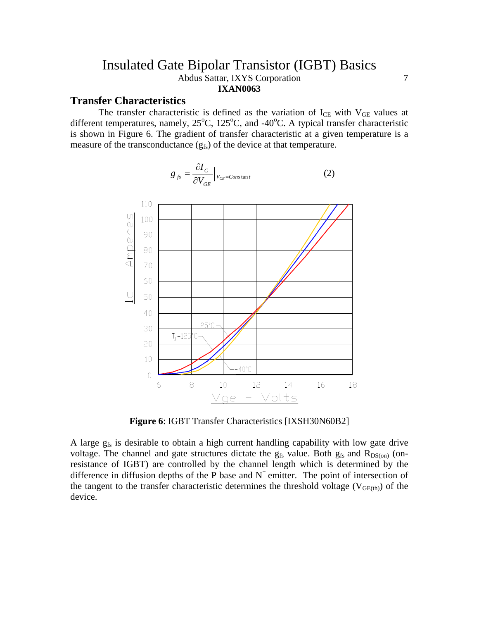## Insulated Gate Bipolar Transistor (IGBT) Basics Abdus Sattar, IXYS Corporation 7 **IXAN0063**

### **Transfer Characteristics**

 $\vdash$ 

The transfer characteristic is defined as the variation of  $I_{CE}$  with  $V_{GE}$  values at different temperatures, namely,  $25^{\circ}$ C,  $125^{\circ}$ C, and  $-40^{\circ}$ C. A typical transfer characteristic is shown in Figure 6. The gradient of transfer characteristic at a given temperature is a measure of the transconductance  $(g_{fs})$  of the device at that temperature.

$$
8 f_s - \frac{8 f_{0}}{\partial V_{GE}} |V_{CE} = constant
$$
\n
$$
110
$$
\n
$$
110
$$
\n
$$
100
$$
\n
$$
10
$$
\n
$$
10
$$
\n
$$
10
$$
\n
$$
10
$$
\n
$$
10
$$
\n
$$
10
$$
\n
$$
10
$$
\n
$$
10
$$
\n
$$
10
$$
\n
$$
10
$$
\n
$$
10
$$
\n
$$
11
$$
\n
$$
12
$$
\n
$$
13
$$
\n
$$
14
$$
\n
$$
16
$$
\n
$$
18
$$

$$
g_{fs} = \frac{\partial I_C}{\partial V_{GE}} \Big|_{V_{CE} = Constan t}
$$
 (2)

**Figure 6**: IGBT Transfer Characteristics [IXSH30N60B2]

Vge - Volts

A large  $g_{fs}$  is desirable to obtain a high current handling capability with low gate drive voltage. The channel and gate structures dictate the  $g_{fs}$  value. Both  $g_{fs}$  and  $R_{DS(0n)}$  (onresistance of IGBT) are controlled by the channel length which is determined by the difference in diffusion depths of the P base and  $N^+$  emitter. The point of intersection of the tangent to the transfer characteristic determines the threshold voltage ( $V_{GE(th)}$ ) of the device.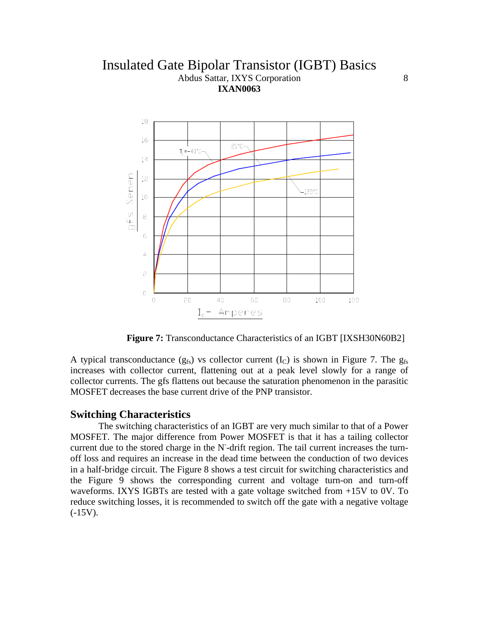## Insulated Gate Bipolar Transistor (IGBT) Basics Abdus Sattar, IXYS Corporation 8 **IXAN0063**



**Figure 7:** Transconductance Characteristics of an IGBT [IXSH30N60B2]

A typical transconductance  $(g_{fs})$  vs collector current  $(I_C)$  is shown in Figure 7. The  $g_{fs}$ increases with collector current, flattening out at a peak level slowly for a range of collector currents. The gfs flattens out because the saturation phenomenon in the parasitic MOSFET decreases the base current drive of the PNP transistor.

#### **Switching Characteristics**

The switching characteristics of an IGBT are very much similar to that of a Power MOSFET. The major difference from Power MOSFET is that it has a tailing collector current due to the stored charge in the N<sup>-</sup>drift region. The tail current increases the turnoff loss and requires an increase in the dead time between the conduction of two devices in a half-bridge circuit. The Figure 8 shows a test circuit for switching characteristics and the Figure 9 shows the corresponding current and voltage turn-on and turn-off waveforms. IXYS IGBTs are tested with a gate voltage switched from +15V to 0V. To reduce switching losses, it is recommended to switch off the gate with a negative voltage  $(-15V)$ .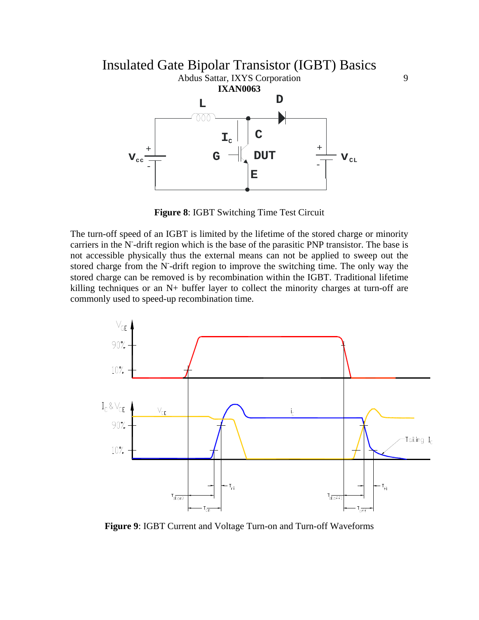

**Figure 8**: IGBT Switching Time Test Circuit

The turn-off speed of an IGBT is limited by the lifetime of the stored charge or minority carriers in the N-drift region which is the base of the parasitic PNP transistor. The base is not accessible physically thus the external means can not be applied to sweep out the stored charge from the N-drift region to improve the switching time. The only way the stored charge can be removed is by recombination within the IGBT. Traditional lifetime killing techniques or an N+ buffer layer to collect the minority charges at turn-off are commonly used to speed-up recombination time.



**Figure 9**: IGBT Current and Voltage Turn-on and Turn-off Waveforms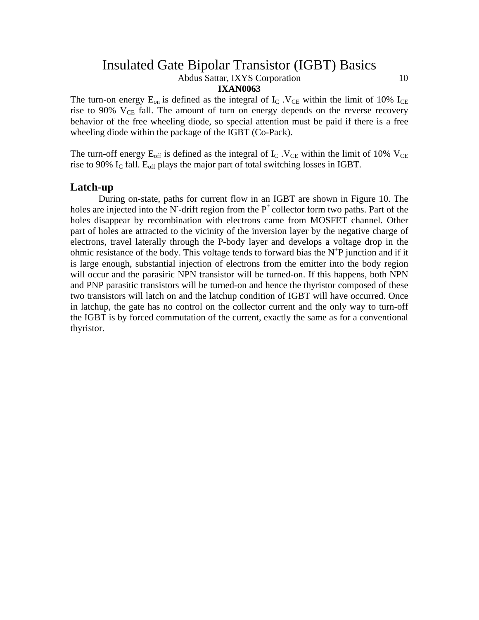Abdus Sattar, IXYS Corporation 10

#### **IXAN0063**

The turn-on energy  $E_{on}$  is defined as the integral of  $I_c$ .  $V_{CE}$  within the limit of 10%  $I_{CE}$ rise to 90%  $V_{CE}$  fall. The amount of turn on energy depends on the reverse recovery behavior of the free wheeling diode, so special attention must be paid if there is a free wheeling diode within the package of the IGBT (Co-Pack).

The turn-off energy  $E_{off}$  is defined as the integral of  $I_{C}$ .  $V_{CE}$  within the limit of 10%  $V_{CE}$ rise to 90%  $I_c$  fall.  $E_{off}$  plays the major part of total switching losses in IGBT.

#### **Latch-up**

During on-state, paths for current flow in an IGBT are shown in Figure 10. The holes are injected into the N-drift region from the  $P^+$  collector form two paths. Part of the holes disappear by recombination with electrons came from MOSFET channel. Other part of holes are attracted to the vicinity of the inversion layer by the negative charge of electrons, travel laterally through the P-body layer and develops a voltage drop in the ohmic resistance of the body. This voltage tends to forward bias the  $N^{\dagger}P$  junction and if it is large enough, substantial injection of electrons from the emitter into the body region will occur and the parasiric NPN transistor will be turned-on. If this happens, both NPN and PNP parasitic transistors will be turned-on and hence the thyristor composed of these two transistors will latch on and the latchup condition of IGBT will have occurred. Once in latchup, the gate has no control on the collector current and the only way to turn-off the IGBT is by forced commutation of the current, exactly the same as for a conventional thyristor.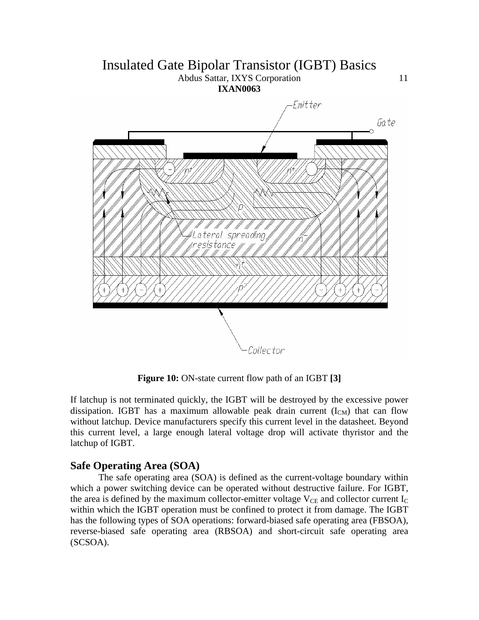## Insulated Gate Bipolar Transistor (IGBT) Basics Abdus Sattar, IXYS Corporation 11

**IXAN0063** 



**Figure 10:** ON-state current flow path of an IGBT [3]

If latchup is not terminated quickly, the IGBT will be destroyed by the excessive power dissipation. IGBT has a maximum allowable peak drain current  $(I_{CM})$  that can flow without latchup. Device manufacturers specify this current level in the datasheet. Beyond this current level, a large enough lateral voltage drop will activate thyristor and the latchup of IGBT.

## **Safe Operating Area (SOA)**

The safe operating area (SOA) is defined as the current-voltage boundary within which a power switching device can be operated without destructive failure. For IGBT, the area is defined by the maximum collector-emitter voltage  $V_{CE}$  and collector current  $I_{C}$ within which the IGBT operation must be confined to protect it from damage. The IGBT has the following types of SOA operations: forward-biased safe operating area (FBSOA), reverse-biased safe operating area (RBSOA) and short-circuit safe operating area (SCSOA).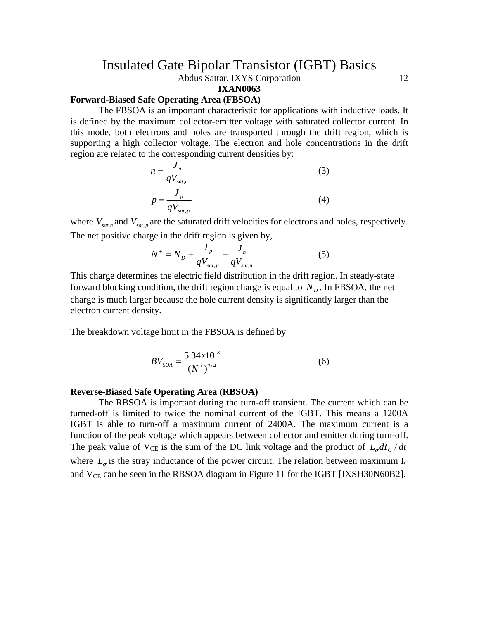Abdus Sattar, IXYS Corporation 12

**IXAN0063** 

### **Forward-Biased Safe Operating Area (FBSOA)**

The FBSOA is an important characteristic for applications with inductive loads. It is defined by the maximum collector-emitter voltage with saturated collector current. In this mode, both electrons and holes are transported through the drift region, which is supporting a high collector voltage. The electron and hole concentrations in the drift region are related to the corresponding current densities by:

$$
n = \frac{J_n}{qV_{sat,n}}
$$
\n
$$
p = \frac{J_p}{qV_{sat,p}}
$$
\n(3)

where  $V_{sat,n}$  and  $V_{sat,p}$  are the saturated drift velocities for electrons and holes, respectively. The net positive charge in the drift region is given by,

$$
N^{+} = N_{D} + \frac{J_{p}}{qV_{sat,p}} - \frac{J_{n}}{qV_{sat,n}}
$$
 (5)

This charge determines the electric field distribution in the drift region. In steady-state forward blocking condition, the drift region charge is equal to  $N<sub>p</sub>$ . In FBSOA, the net charge is much larger because the hole current density is significantly larger than the electron current density.

The breakdown voltage limit in the FBSOA is defined by

$$
BV_{SOA} = \frac{5.34 \times 10^{13}}{(N^+)^{3/4}}
$$
 (6)

#### **Reverse-Biased Safe Operating Area (RBSOA)**

The RBSOA is important during the turn-off transient. The current which can be turned-off is limited to twice the nominal current of the IGBT. This means a 1200A IGBT is able to turn-off a maximum current of 2400A. The maximum current is a function of the peak voltage which appears between collector and emitter during turn-off. The peak value of  $V_{CE}$  is the sum of the DC link voltage and the product of  $L_q dI_c / dt$ where  $L_{\sigma}$  is the stray inductance of the power circuit. The relation between maximum I<sub>C</sub> and  $V_{CE}$  can be seen in the RBSOA diagram in Figure 11 for the IGBT [IXSH30N60B2].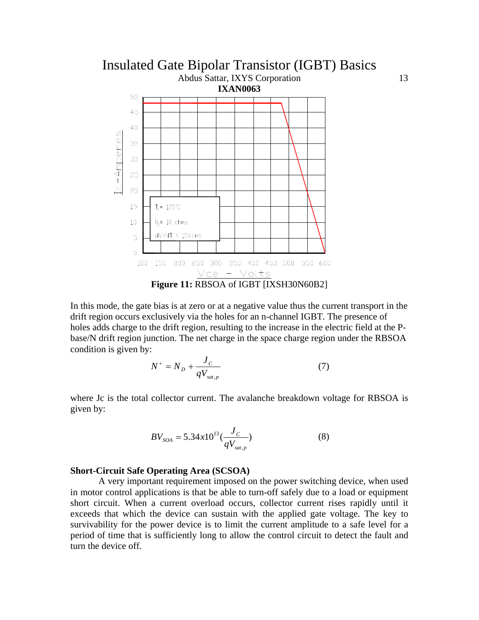

In this mode, the gate bias is at zero or at a negative value thus the current transport in the drift region occurs exclusively via the holes for an n-channel IGBT. The presence of holes adds charge to the drift region, resulting to the increase in the electric field at the Pbase/N drift region junction. The net charge in the space charge region under the RBSOA condition is given by:

$$
N^{+} = N_{D} + \frac{J_{C}}{qV_{sat,p}}
$$
 (7)

where Jc is the total collector current. The avalanche breakdown voltage for RBSOA is given by:

$$
BV_{SOA} = 5.34x10^{13} \left(\frac{J_C}{qV_{sat,p}}\right) \tag{8}
$$

#### **Short-Circuit Safe Operating Area (SCSOA)**

A very important requirement imposed on the power switching device, when used in motor control applications is that be able to turn-off safely due to a load or equipment short circuit. When a current overload occurs, collector current rises rapidly until it exceeds that which the device can sustain with the applied gate voltage. The key to survivability for the power device is to limit the current amplitude to a safe level for a period of time that is sufficiently long to allow the control circuit to detect the fault and turn the device off.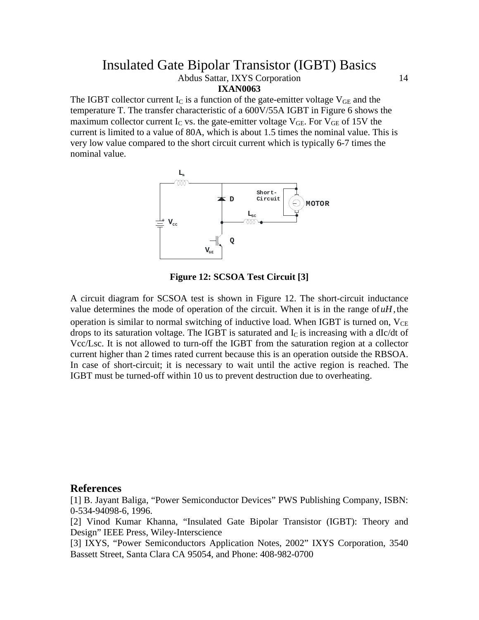Abdus Sattar, IXYS Corporation 14

**IXAN0063** 

The IGBT collector current  $I_c$  is a function of the gate-emitter voltage  $V_{GE}$  and the temperature T. The transfer characteristic of a 600V/55A IGBT in Figure 6 shows the maximum collector current  $I_C$  vs. the gate-emitter voltage  $V_{GE}$ . For  $V_{GE}$  of 15V the current is limited to a value of 80A, which is about 1.5 times the nominal value. This is very low value compared to the short circuit current which is typically 6-7 times the nominal value.



**Figure 12: SCSOA Test Circuit [3]** 

A circuit diagram for SCSOA test is shown in Figure 12. The short-circuit inductance value determines the mode of operation of the circuit. When it is in the range of  $uH$ , the operation is similar to normal switching of inductive load. When IGBT is turned on,  $V_{CE}$ drops to its saturation voltage. The IGBT is saturated and  $I_c$  is increasing with a dIc/dt of Vcc/Lsc. It is not allowed to turn-off the IGBT from the saturation region at a collector current higher than 2 times rated current because this is an operation outside the RBSOA. In case of short-circuit; it is necessary to wait until the active region is reached. The IGBT must be turned-off within 10 us to prevent destruction due to overheating.

#### **References**

[1] B. Jayant Baliga, "Power Semiconductor Devices" PWS Publishing Company, ISBN: 0-534-94098-6, 1996.

[2] Vinod Kumar Khanna, "Insulated Gate Bipolar Transistor (IGBT): Theory and Design" IEEE Press, Wiley-Interscience

[3] IXYS, "Power Semiconductors Application Notes, 2002" IXYS Corporation, 3540 Bassett Street, Santa Clara CA 95054, and Phone: 408-982-0700